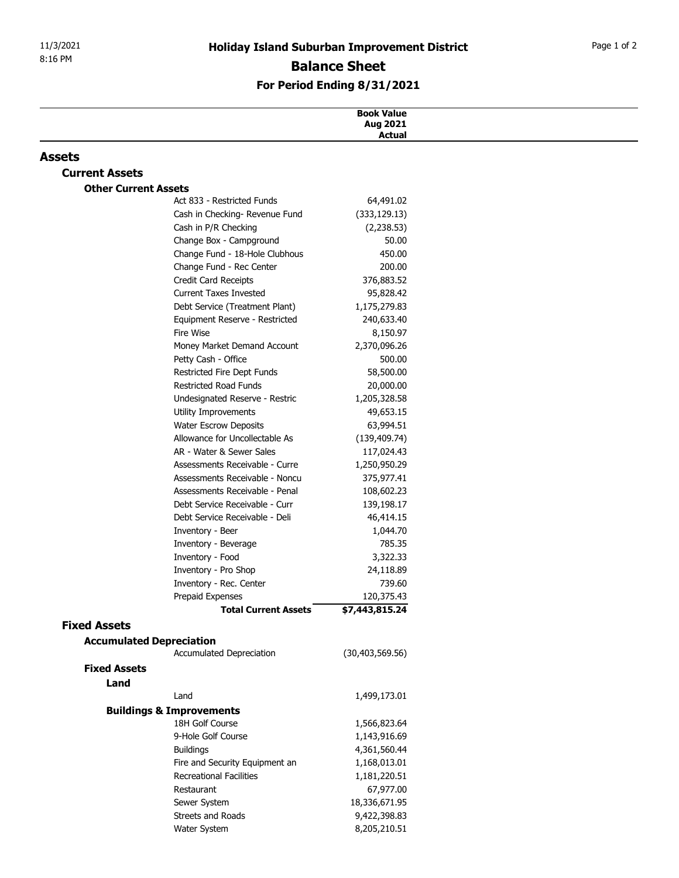## For Period Ending 8/31/2021

|                                        |                                                                  | <b>Holiday Island Suburban Improvement District</b> | Page 1 of 2 |
|----------------------------------------|------------------------------------------------------------------|-----------------------------------------------------|-------------|
| 8:16 PM                                | <b>Balance Sheet</b><br>For Period Ending 8/31/2021              |                                                     |             |
|                                        |                                                                  |                                                     |             |
|                                        |                                                                  |                                                     |             |
|                                        |                                                                  | <b>Book Value</b><br>Aug 2021<br><b>Actual</b>      |             |
|                                        |                                                                  |                                                     |             |
| <b>Assets</b><br><b>Current Assets</b> |                                                                  |                                                     |             |
| <b>Other Current Assets</b>            |                                                                  |                                                     |             |
|                                        | Act 833 - Restricted Funds                                       | 64,491.02                                           |             |
|                                        | Cash in Checking- Revenue Fund                                   | (333, 129.13)                                       |             |
|                                        | Cash in P/R Checking                                             | (2, 238.53)                                         |             |
|                                        | Change Box - Campground                                          | 50.00                                               |             |
|                                        | Change Fund - 18-Hole Clubhous                                   | 450.00                                              |             |
|                                        | Change Fund - Rec Center                                         | 200.00                                              |             |
|                                        | Credit Card Receipts                                             | 376,883.52                                          |             |
|                                        | <b>Current Taxes Invested</b><br>Debt Service (Treatment Plant)  | 95,828.42<br>1,175,279.83                           |             |
|                                        | Equipment Reserve - Restricted                                   | 240,633.40                                          |             |
|                                        | Fire Wise                                                        | 8,150.97                                            |             |
|                                        | Money Market Demand Account                                      | 2,370,096.26                                        |             |
|                                        | Petty Cash - Office                                              | 500.00                                              |             |
|                                        | Restricted Fire Dept Funds                                       | 58,500.00                                           |             |
|                                        | <b>Restricted Road Funds</b>                                     | 20,000.00                                           |             |
|                                        | Undesignated Reserve - Restric<br>Utility Improvements           | 1,205,328.58<br>49,653.15                           |             |
|                                        | <b>Water Escrow Deposits</b>                                     | 63,994.51                                           |             |
|                                        | Allowance for Uncollectable As                                   | (139, 409.74)                                       |             |
|                                        | AR - Water & Sewer Sales                                         | 117,024.43                                          |             |
|                                        | Assessments Receivable - Curre                                   | 1,250,950.29                                        |             |
|                                        | Assessments Receivable - Noncu                                   | 375,977.41                                          |             |
|                                        | Assessments Receivable - Penal                                   | 108,602.23                                          |             |
|                                        | Debt Service Receivable - Curr<br>Debt Service Receivable - Deli | 139,198.17                                          |             |
|                                        | Inventory - Beer                                                 | 46,414.15<br>1,044.70                               |             |
|                                        | Inventory - Beverage                                             | 785.35                                              |             |
|                                        | Inventory - Food                                                 | 3,322.33                                            |             |
|                                        | Inventory - Pro Shop                                             | 24,118.89                                           |             |
|                                        | Inventory - Rec. Center                                          | 739.60                                              |             |
|                                        | Prepaid Expenses                                                 | 120,375.43                                          |             |
|                                        | <b>Total Current Assets</b>                                      | \$7,443,815.24                                      |             |
| <b>Fixed Assets</b>                    |                                                                  |                                                     |             |
|                                        | <b>Accumulated Depreciation</b><br>Accumulated Depreciation      | (30, 403, 569.56)                                   |             |
| <b>Fixed Assets</b>                    |                                                                  |                                                     |             |
| Land                                   |                                                                  |                                                     |             |
|                                        | Land                                                             | 1,499,173.01                                        |             |
|                                        | <b>Buildings &amp; Improvements</b>                              |                                                     |             |
|                                        | 18H Golf Course                                                  | 1,566,823.64                                        |             |
|                                        | 9-Hole Golf Course                                               | 1,143,916.69                                        |             |
|                                        | <b>Buildings</b>                                                 | 4,361,560.44                                        |             |
|                                        | Fire and Security Equipment an                                   | 1,168,013.01                                        |             |
|                                        | <b>Recreational Facilities</b><br>Restaurant                     | 1,181,220.51<br>67,977.00                           |             |
|                                        | Sewer System                                                     | 18,336,671.95                                       |             |
|                                        | Streets and Roads                                                | 9,422,398.83                                        |             |
|                                        | Water System                                                     | 8,205,210.51                                        |             |